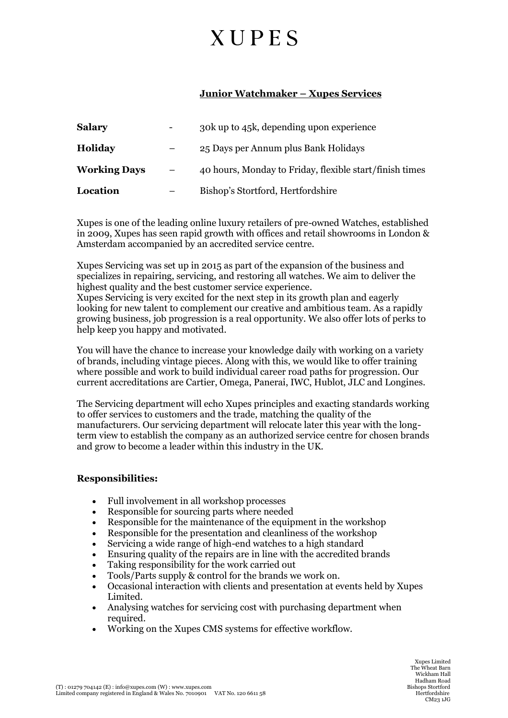# **XUPES**

## **Junior Watchmaker – Xupes Services**

| <b>Salary</b>       | ۰ | 30k up to 45k, depending upon experience                |
|---------------------|---|---------------------------------------------------------|
| <b>Holiday</b>      |   | 25 Days per Annum plus Bank Holidays                    |
| <b>Working Days</b> |   | 40 hours, Monday to Friday, flexible start/finish times |
| Location            |   | Bishop's Stortford, Hertfordshire                       |

Xupes is one of the leading online luxury retailers of pre-owned Watches, established in 2009, Xupes has seen rapid growth with offices and retail showrooms in London & Amsterdam accompanied by an accredited service centre.

Xupes Servicing was set up in 2015 as part of the expansion of the business and specializes in repairing, servicing, and restoring all watches. We aim to deliver the highest quality and the best customer service experience.

Xupes Servicing is very excited for the next step in its growth plan and eagerly looking for new talent to complement our creative and ambitious team. As a rapidly growing business, job progression is a real opportunity. We also offer lots of perks to help keep you happy and motivated.

You will have the chance to increase your knowledge daily with working on a variety of brands, including vintage pieces. Along with this, we would like to offer training where possible and work to build individual career road paths for progression. Our current accreditations are Cartier, Omega, Panerai, IWC, Hublot, JLC and Longines.

The Servicing department will echo Xupes principles and exacting standards working to offer services to customers and the trade, matching the quality of the manufacturers. Our servicing department will relocate later this year with the longterm view to establish the company as an authorized service centre for chosen brands and grow to become a leader within this industry in the UK.

### **Responsibilities:**

- Full involvement in all workshop processes
- Responsible for sourcing parts where needed
- Responsible for the maintenance of the equipment in the workshop
- Responsible for the presentation and cleanliness of the workshop
- Servicing a wide range of high-end watches to a high standard
- Ensuring quality of the repairs are in line with the accredited brands
- Taking responsibility for the work carried out
- Tools/Parts supply & control for the brands we work on.
- Occasional interaction with clients and presentation at events held by Xupes Limited.
- Analysing watches for servicing cost with purchasing department when required.
- Working on the Xupes CMS systems for effective workflow.